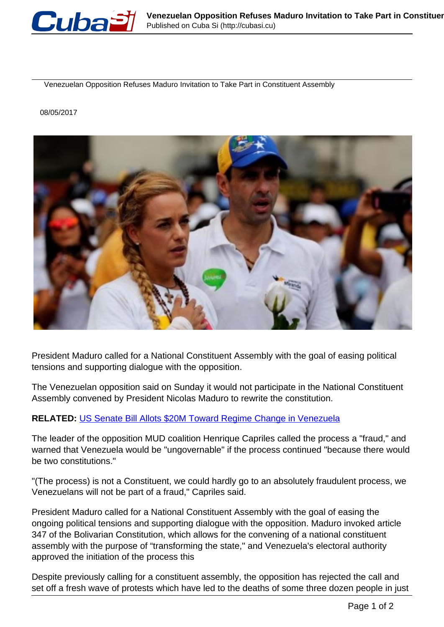

Venezuelan Opposition Refuses Maduro Invitation to Take Part in Constituent Assembly

08/05/2017



President Maduro called for a National Constituent Assembly with the goal of easing political tensions and supporting dialogue with the opposition.

The Venezuelan opposition said on Sunday it would not participate in the National Constituent Assembly convened by President Nicolas Maduro to rewrite the constitution.

## **RELATED:** [US Senate Bill Allots \\$20M Toward Regime Change in Venezuela](http://www.telesurtv.net/english/news/US-Senate-Bill-Allots-20M-Toward-Regime-Change-in-Venezuela-20170505-0011.html)

The leader of the opposition MUD coalition Henrique Capriles called the process a "fraud," and warned that Venezuela would be "ungovernable" if the process continued "because there would be two constitutions."

"(The process) is not a Constituent, we could hardly go to an absolutely fraudulent process, we Venezuelans will not be part of a fraud," Capriles said.

President Maduro called for a National Constituent Assembly with the goal of easing the ongoing political tensions and supporting dialogue with the opposition. Maduro invoked article 347 of the Bolivarian Constitution, which allows for the convening of a national constituent assembly with the purpose of "transforming the state," and Venezuela's electoral authority approved the initiation of the process this

Despite previously calling for a constituent assembly, the opposition has rejected the call and set off a fresh wave of protests which have led to the deaths of some three dozen people in just